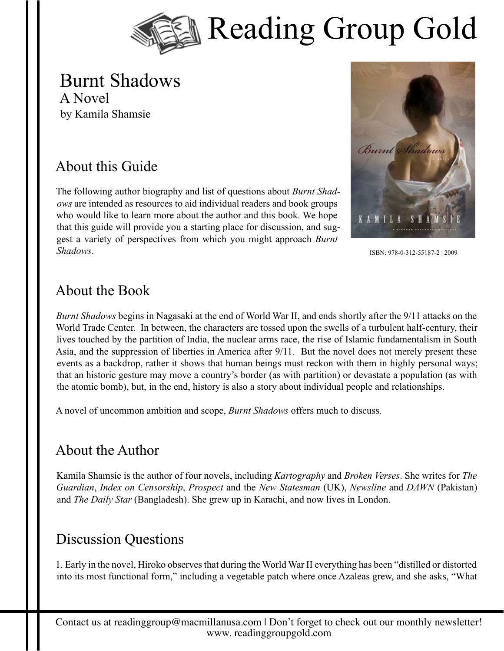

## Burnt Shadows A Novel by Kamila Shamsie

### About this Guide

The following author biography and list of questions about *Burnt Shadows* are intended as resources to aid individual readers and book groups who would like to learn more about the author and this book. We hope that this guide will provide you a starting place for discussion, and suggest a variety of perspectives from which you might approach *Burnt Shadows*.



ISBN: 978-0-312-55187-2 | 2009

#### About the Book

*Burnt Shadows* begins in Nagasaki at the end of World War II, and ends shortly after the 9/11 attacks on the World Trade Center. In between, the characters are tossed upon the swells of a turbulent half-century, their lives touched by the partition of India, the nuclear arms race, the rise of Islamic fundamentalism in South Asia, and the suppression of liberties in America after 9/11. But the novel does not merely present these events as a backdrop, rather it shows that human beings must reckon with them in highly personal ways; that an historic gesture may move a country's border (as with partition) or devastate a population (as with the atomic bomb), but, in the end, history is also a story about individual people and relationships.

A novel of uncommon ambition and scope, *Burnt Shadows* offers much to discuss.

#### About the Author

Kamila Shamsie is the author of four novels, including *Kartography* and *Broken Verses*. She writes for *The Guardian*, *Index on Censorship*, *Prospect* and the *New Statesman* (UK), *Newsline* and *DAWN* (Pakistan) and *The Daily Star* (Bangladesh). She grew up in Karachi, and now lives in London.

# Discussion Questions

1. Early in the novel, Hiroko observes that during the World War II everything has been "distilled or distorted into its most functional form," including a vegetable patch where once Azaleas grew, and she asks, "What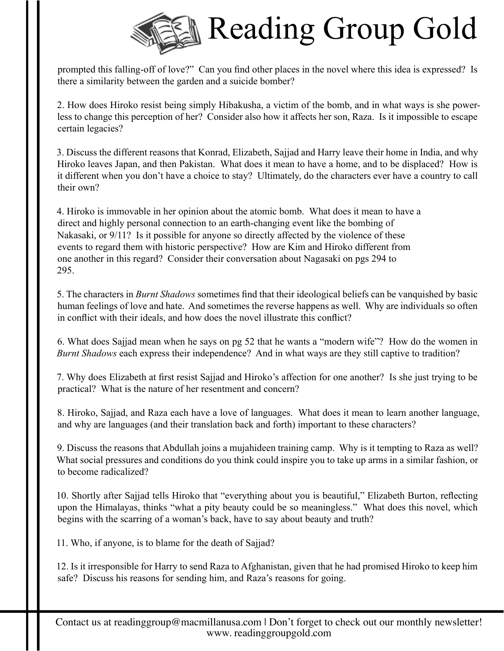

prompted this falling-off of love?" Can you find other places in the novel where this idea is expressed? Is there a similarity between the garden and a suicide bomber?

2. How does Hiroko resist being simply Hibakusha, a victim of the bomb, and in what ways is she powerless to change this perception of her? Consider also how it affects her son, Raza. Is it impossible to escape certain legacies?

3. Discuss the different reasons that Konrad, Elizabeth, Sajjad and Harry leave their home in India, and why Hiroko leaves Japan, and then Pakistan. What does it mean to have a home, and to be displaced? How is it different when you don't have a choice to stay? Ultimately, do the characters ever have a country to call their own?

4. Hiroko is immovable in her opinion about the atomic bomb. What does it mean to have a direct and highly personal connection to an earth-changing event like the bombing of Nakasaki, or  $9/11$ ? Is it possible for anyone so directly affected by the violence of these events to regard them with historic perspective? How are Kim and Hiroko different from one another in this regard? Consider their conversation about Nagasaki on pgs 294 to 295.

5. The characters in *Burnt Shadows* sometimes find that their ideological beliefs can be vanquished by basic human feelings of love and hate. And sometimes the reverse happens as well. Why are individuals so often in conflict with their ideals, and how does the novel illustrate this conflict?

6. What does Sajjad mean when he says on pg 52 that he wants a "modern wife"? How do the women in *Burnt Shadows* each express their independence? And in what ways are they still captive to tradition?

7. Why does Elizabeth at first resist Sajjad and Hiroko's affection for one another? Is she just trying to be practical? What is the nature of her resentment and concern?

8. Hiroko, Sajjad, and Raza each have a love of languages. What does it mean to learn another language, and why are languages (and their translation back and forth) important to these characters?

9. Discuss the reasons that Abdullah joins a mujahideen training camp. Why is it tempting to Raza as well? What social pressures and conditions do you think could inspire you to take up arms in a similar fashion, or to become radicalized?

10. Shortly after Sajjad tells Hiroko that "everything about you is beautiful," Elizabeth Burton, reflecting upon the Himalayas, thinks "what a pity beauty could be so meaningless." What does this novel, which begins with the scarring of a woman's back, have to say about beauty and truth?

11. Who, if anyone, is to blame for the death of Sajjad?

12. Is it irresponsible for Harry to send Raza to Afghanistan, given that he had promised Hiroko to keep him safe? Discuss his reasons for sending him, and Raza's reasons for going.